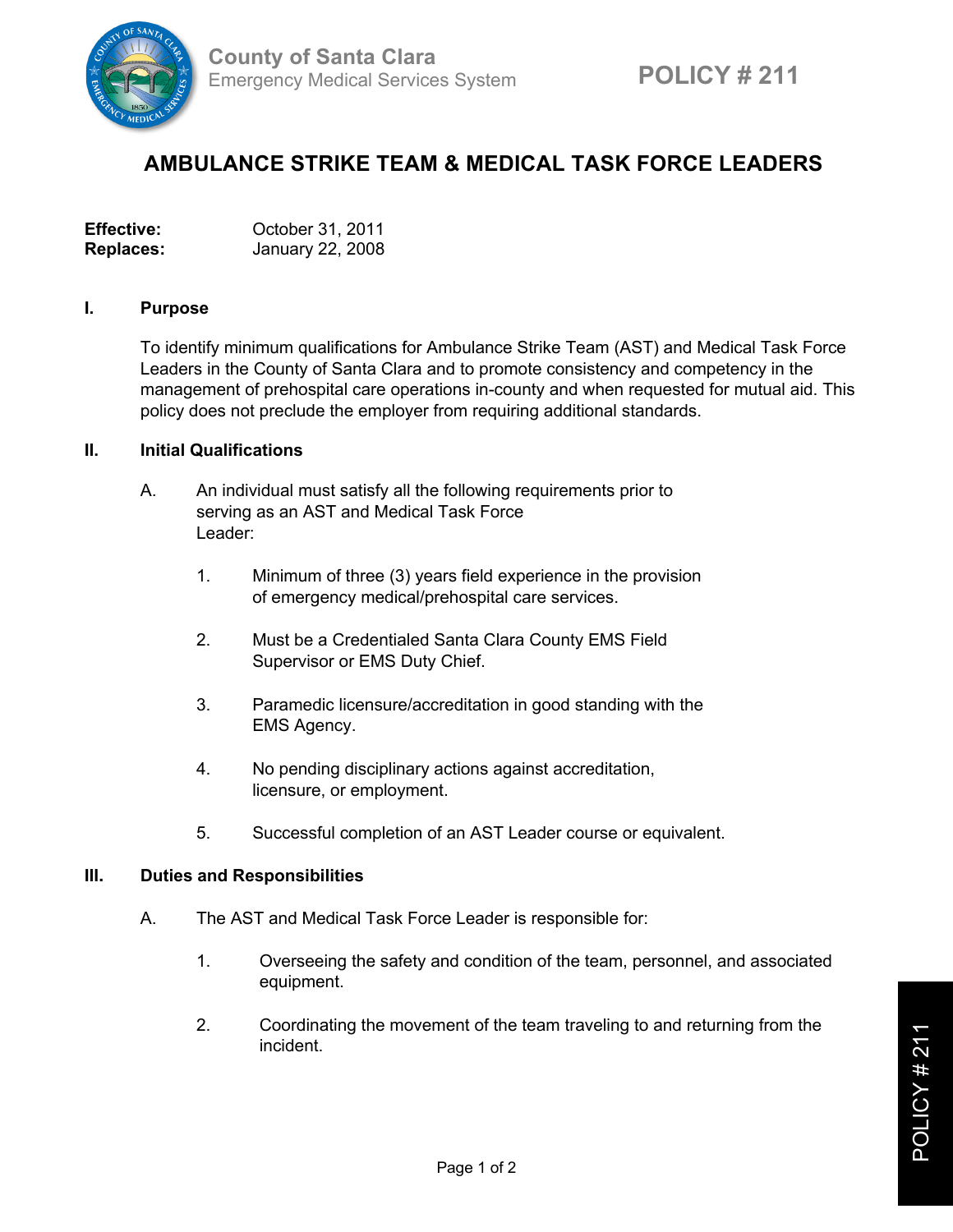

## **AMBULANCE STRIKE TEAM & MEDICAL TASK FORCE LEADERS**

| <b>Effective:</b> | October 31, 2011 |
|-------------------|------------------|
| <b>Replaces:</b>  | January 22, 2008 |

## **I. Purpose**

To identify minimum qualifications for Ambulance Strike Team (AST) and Medical Task Force Leaders in the County of Santa Clara and to promote consistency and competency in the management of prehospital care operations in-county and when requested for mutual aid. This policy does not preclude the employer from requiring additional standards.

## **II. Initial Qualifications**

- A. An individual must satisfy all the following requirements prior to serving as an AST and Medical Task Force Leader:
	- 1. Minimum of three (3) years field experience in the provision of emergency medical/prehospital care services.
	- 2. Must be a Credentialed Santa Clara County EMS Field Supervisor or EMS Duty Chief.
	- 3. Paramedic licensure/accreditation in good standing with the EMS Agency.
	- 4. No pending disciplinary actions against accreditation, licensure, or employment.
	- 5. Successful completion of an AST Leader course or equivalent.

## **III. Duties and Responsibilities**

- A. The AST and Medical Task Force Leader is responsible for:
	- 1. Overseeing the safety and condition of the team, personnel, and associated equipment.
	- 2. Coordinating the movement of the team traveling to and returning from the incident.